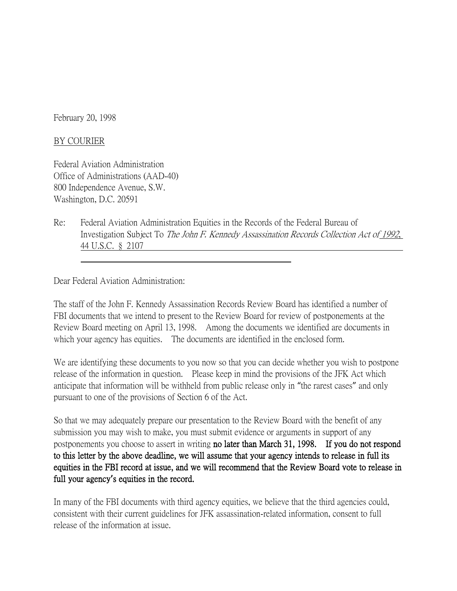February 20, 1998

## BY COURIER

Federal Aviation Administration Office of Administrations (AAD-40) 800 Independence Avenue, S.W. Washington, D.C. 20591

Re: Federal Aviation Administration Equities in the Records of the Federal Bureau of Investigation Subject To The John F. Kennedy Assassination Records Collection Act of 1992, 44 U.S.C. § 2107

Dear Federal Aviation Administration:

The staff of the John F. Kennedy Assassination Records Review Board has identified a number of FBI documents that we intend to present to the Review Board for review of postponements at the Review Board meeting on April 13, 1998. Among the documents we identified are documents in which your agency has equities. The documents are identified in the enclosed form.

We are identifying these documents to you now so that you can decide whether you wish to postpone release of the information in question. Please keep in mind the provisions of the JFK Act which anticipate that information will be withheld from public release only in "the rarest cases" and only pursuant to one of the provisions of Section 6 of the Act.

So that we may adequately prepare our presentation to the Review Board with the benefit of any submission you may wish to make, you must submit evidence or arguments in support of any postponements you choose to assert in writing no later than March 31, 1998. If you do not respond to this letter by the above deadline, we will assume that your agency intends to release in full its equities in the FBI record at issue, and we will recommend that the Review Board vote to release in full your agency**'**s equities in the record.

In many of the FBI documents with third agency equities, we believe that the third agencies could, consistent with their current guidelines for JFK assassination-related information, consent to full release of the information at issue.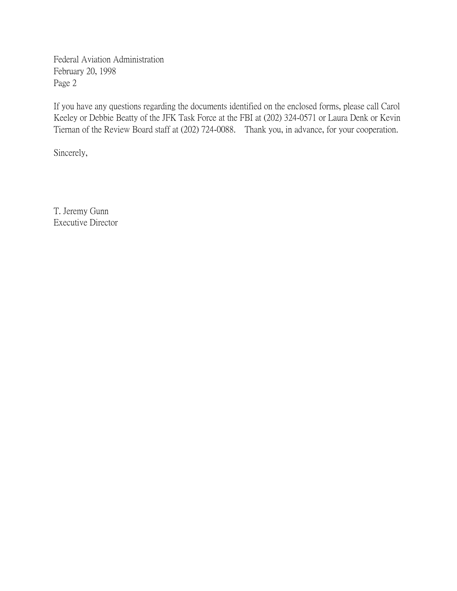Federal Aviation Administration February 20, 1998 Page 2

If you have any questions regarding the documents identified on the enclosed forms, please call Carol Keeley or Debbie Beatty of the JFK Task Force at the FBI at (202) 324-0571 or Laura Denk or Kevin Tiernan of the Review Board staff at (202) 724-0088. Thank you, in advance, for your cooperation.

Sincerely,

T. Jeremy Gunn Executive Director